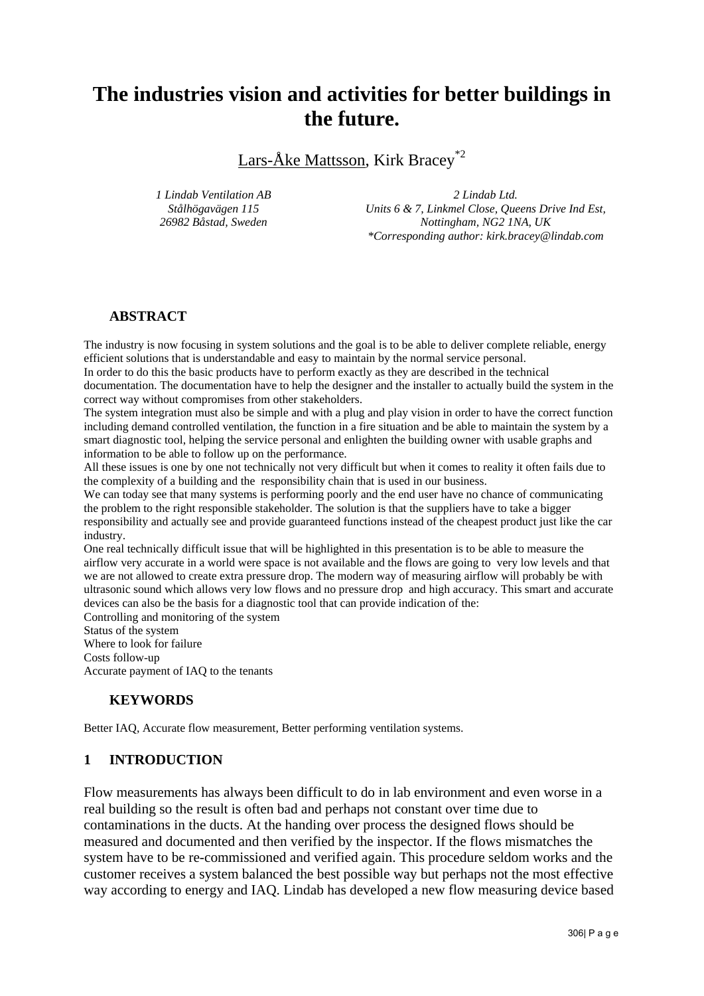# **The industries vision and activities for better buildings in the future.**

Lars-Åke Mattsson, Kirk Bracey\*2

*1 Lindab Ventilation AB Stålhögavägen 115 26982 Båstad, Sweden*

*2 Lindab Ltd.* 

*Units 6 & 7, Linkmel Close, Queens Drive Ind Est, Nottingham, NG2 1NA, UK \*Corresponding author: kirk.bracey@lindab.com*

## **ABSTRACT**

The industry is now focusing in system solutions and the goal is to be able to deliver complete reliable, energy efficient solutions that is understandable and easy to maintain by the normal service personal.

In order to do this the basic products have to perform exactly as they are described in the technical documentation. The documentation have to help the designer and the installer to actually build the system in the correct way without compromises from other stakeholders.

The system integration must also be simple and with a plug and play vision in order to have the correct function including demand controlled ventilation, the function in a fire situation and be able to maintain the system by a smart diagnostic tool, helping the service personal and enlighten the building owner with usable graphs and information to be able to follow up on the performance.

All these issues is one by one not technically not very difficult but when it comes to reality it often fails due to the complexity of a building and the responsibility chain that is used in our business.

We can today see that many systems is performing poorly and the end user have no chance of communicating the problem to the right responsible stakeholder. The solution is that the suppliers have to take a bigger responsibility and actually see and provide guaranteed functions instead of the cheapest product just like the car industry.

One real technically difficult issue that will be highlighted in this presentation is to be able to measure the airflow very accurate in a world were space is not available and the flows are going to very low levels and that we are not allowed to create extra pressure drop. The modern way of measuring airflow will probably be with ultrasonic sound which allows very low flows and no pressure drop and high accuracy. This smart and accurate devices can also be the basis for a diagnostic tool that can provide indication of the:

Controlling and monitoring of the system Status of the system Where to look for failure Costs follow-up

Accurate payment of IAQ to the tenants

#### **KEYWORDS**

Better IAQ, Accurate flow measurement, Better performing ventilation systems.

## **1 INTRODUCTION**

Flow measurements has always been difficult to do in lab environment and even worse in a real building so the result is often bad and perhaps not constant over time due to contaminations in the ducts. At the handing over process the designed flows should be measured and documented and then verified by the inspector. If the flows mismatches the system have to be re-commissioned and verified again. This procedure seldom works and the customer receives a system balanced the best possible way but perhaps not the most effective way according to energy and IAQ. Lindab has developed a new flow measuring device based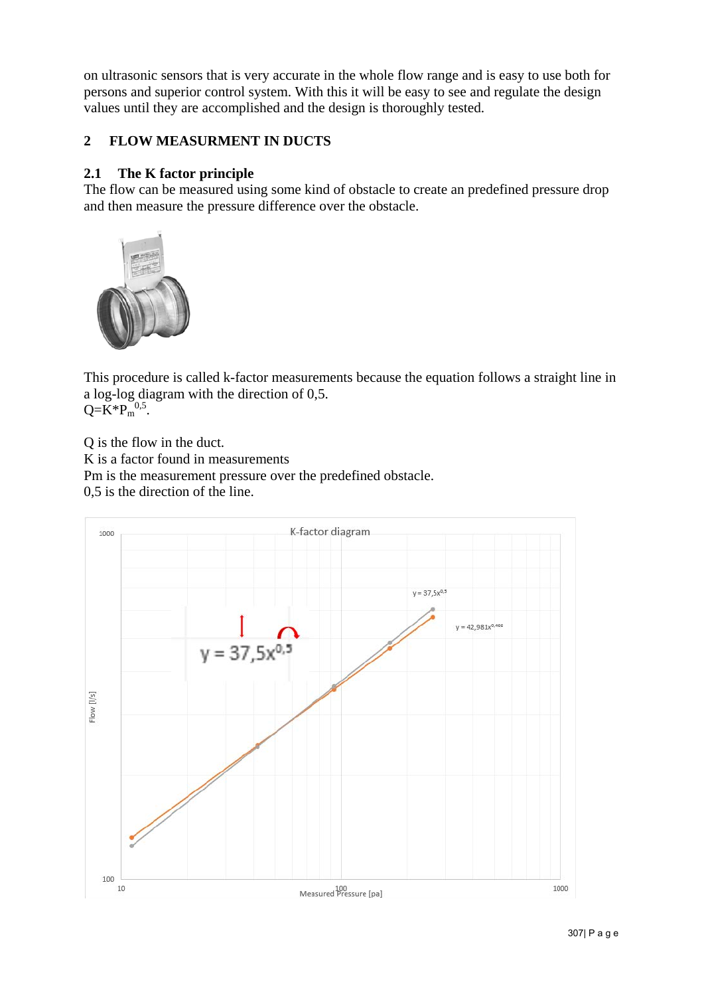on ultrasonic sensors that is very accurate in the whole flow range and is easy to use both for persons and superior control system. With this it will be easy to see and regulate the design values until they are accomplished and the design is thoroughly tested.

## **2 FLOW MEASURMENT IN DUCTS**

## **2.1 The K factor principle**

The flow can be measured using some kind of obstacle to create an predefined pressure drop and then measure the pressure difference over the obstacle.



This procedure is called k-factor measurements because the equation follows a straight line in a log-log diagram with the direction of 0,5.  $Q=K^*P_m^{0,5}$ .

Q is the flow in the duct. K is a factor found in measurements Pm is the measurement pressure over the predefined obstacle. 0,5 is the direction of the line.

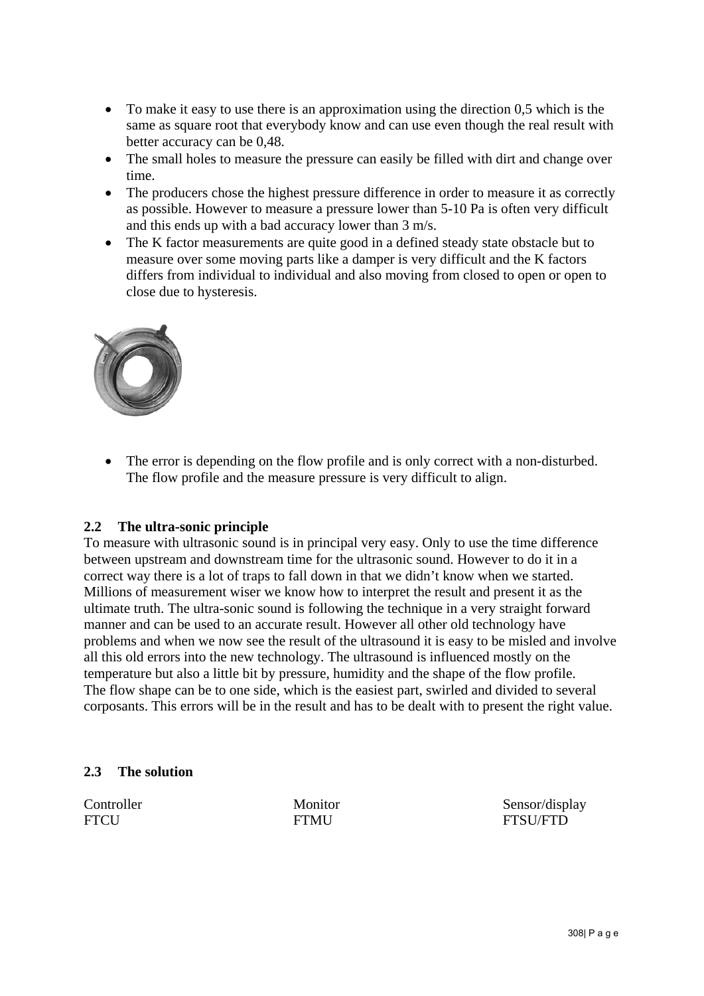- To make it easy to use there is an approximation using the direction 0,5 which is the same as square root that everybody know and can use even though the real result with better accuracy can be 0,48.
- The small holes to measure the pressure can easily be filled with dirt and change over time.
- The producers chose the highest pressure difference in order to measure it as correctly as possible. However to measure a pressure lower than 5-10 Pa is often very difficult and this ends up with a bad accuracy lower than 3 m/s.
- The K factor measurements are quite good in a defined steady state obstacle but to measure over some moving parts like a damper is very difficult and the K factors differs from individual to individual and also moving from closed to open or open to close due to hysteresis.



• The error is depending on the flow profile and is only correct with a non-disturbed. The flow profile and the measure pressure is very difficult to align.

## **2.2 The ultra-sonic principle**

To measure with ultrasonic sound is in principal very easy. Only to use the time difference between upstream and downstream time for the ultrasonic sound. However to do it in a correct way there is a lot of traps to fall down in that we didn't know when we started. Millions of measurement wiser we know how to interpret the result and present it as the ultimate truth. The ultra-sonic sound is following the technique in a very straight forward manner and can be used to an accurate result. However all other old technology have problems and when we now see the result of the ultrasound it is easy to be misled and involve all this old errors into the new technology. The ultrasound is influenced mostly on the temperature but also a little bit by pressure, humidity and the shape of the flow profile. The flow shape can be to one side, which is the easiest part, swirled and divided to several corposants. This errors will be in the result and has to be dealt with to present the right value.

#### **2.3 The solution**

Controller Monitor Sensor/display FTCU FTMU FTMU FTSU/FTD